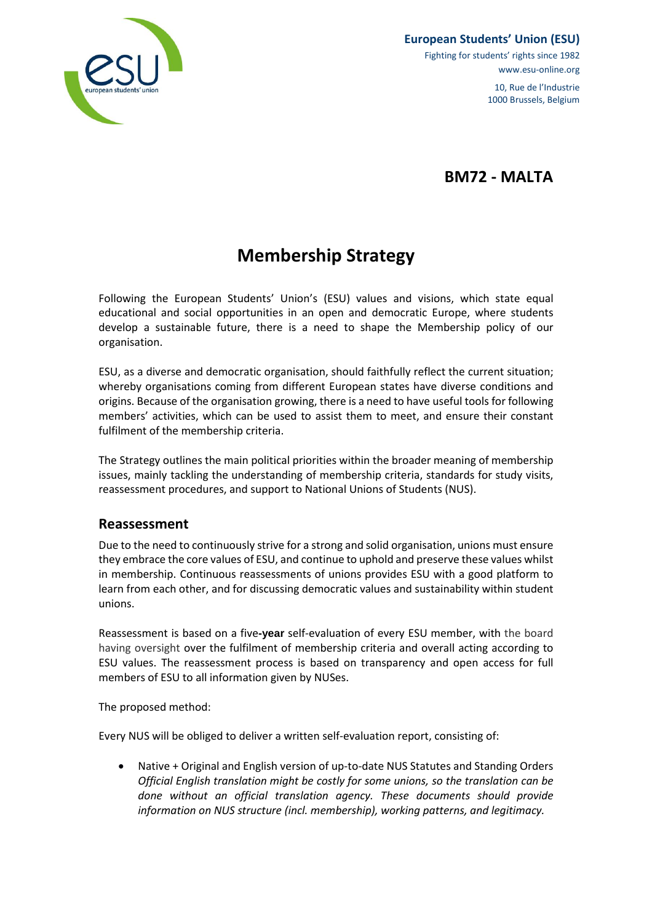

Fighting for students' rights since 1982 www.esu-online.org

> 10, Rue de l'Industrie 1000 Brussels, Belgium

**BM72 - MALTA**

# **Membership Strategy**

Following the European Students' Union's (ESU) values and visions, which state equal educational and social opportunities in an open and democratic Europe, where students develop a sustainable future, there is a need to shape the Membership policy of our organisation.

ESU, as a diverse and democratic organisation, should faithfully reflect the current situation; whereby organisations coming from different European states have diverse conditions and origins. Because of the organisation growing, there is a need to have useful tools for following members' activities, which can be used to assist them to meet, and ensure their constant fulfilment of the membership criteria.

The Strategy outlines the main political priorities within the broader meaning of membership issues, mainly tackling the understanding of membership criteria, standards for study visits, reassessment procedures, and support to National Unions of Students (NUS).

#### **Reassessment**

Due to the need to continuously strive for a strong and solid organisation, unions must ensure they embrace the core values of ESU, and continue to uphold and preserve these values whilst in membership. Continuous reassessments of unions provides ESU with a good platform to learn from each other, and for discussing democratic values and sustainability within student unions.

Reassessment is based on a five**-year** self-evaluation of every ESU member, with the board having oversight over the fulfilment of membership criteria and overall acting according to ESU values. The reassessment process is based on transparency and open access for full members of ESU to all information given by NUSes.

The proposed method:

Every NUS will be obliged to deliver a written self-evaluation report, consisting of:

• Native + Original and English version of up-to-date NUS Statutes and Standing Orders *Official English translation might be costly for some unions, so the translation can be done without an official translation agency. These documents should provide information on NUS structure (incl. membership), working patterns, and legitimacy.*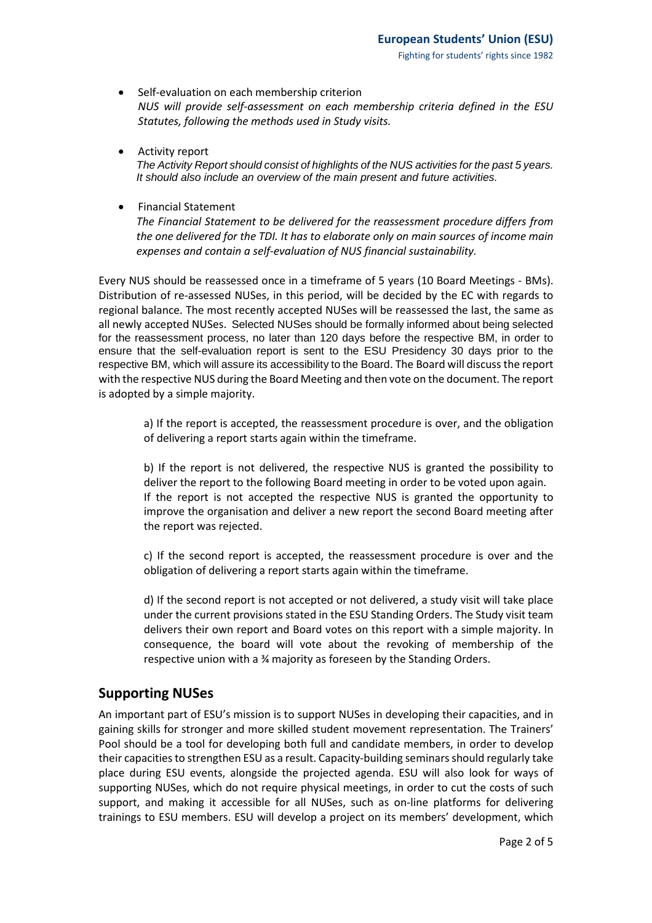- Self-evaluation on each membership criterion *NUS will provide self-assessment on each membership criteria defined in the ESU Statutes, following the methods used in Study visits.*
- Activity report *The Activity Report should consist of highlights of the NUS activities for the past 5 years. It should also include an overview of the main present and future activities.*
- Financial Statement

*The Financial Statement to be delivered for the reassessment procedure differs from the one delivered for the TDI. It has to elaborate only on main sources of income main expenses and contain a self-evaluation of NUS financial sustainability.*

Every NUS should be reassessed once in a timeframe of 5 years (10 Board Meetings - BMs). Distribution of re-assessed NUSes, in this period, will be decided by the EC with regards to regional balance. The most recently accepted NUSes will be reassessed the last, the same as all newly accepted NUSes. Selected NUSes should be formally informed about being selected for the reassessment process, no later than 120 days before the respective BM, in order to ensure that the self-evaluation report is sent to the ESU Presidency 30 days prior to the respective BM, which will assure its accessibility to the Board. The Board will discuss the report with the respective NUS during the Board Meeting and then vote on the document. The report is adopted by a simple majority.

a) If the report is accepted, the reassessment procedure is over, and the obligation of delivering a report starts again within the timeframe.

b) If the report is not delivered, the respective NUS is granted the possibility to deliver the report to the following Board meeting in order to be voted upon again. If the report is not accepted the respective NUS is granted the opportunity to improve the organisation and deliver a new report the second Board meeting after the report was rejected.

c) If the second report is accepted, the reassessment procedure is over and the obligation of delivering a report starts again within the timeframe.

d) If the second report is not accepted or not delivered, a study visit will take place under the current provisions stated in the ESU Standing Orders. The Study visit team delivers their own report and Board votes on this report with a simple majority. In consequence, the board will vote about the revoking of membership of the respective union with a ¾ majority as foreseen by the Standing Orders.

## **Supporting NUSes**

An important part of ESU's mission is to support NUSes in developing their capacities, and in gaining skills for stronger and more skilled student movement representation. The Trainers' Pool should be a tool for developing both full and candidate members, in order to develop their capacities to strengthen ESU as a result. Capacity-building seminars should regularly take place during ESU events, alongside the projected agenda. ESU will also look for ways of supporting NUSes, which do not require physical meetings, in order to cut the costs of such support, and making it accessible for all NUSes, such as on-line platforms for delivering trainings to ESU members. ESU will develop a project on its members' development, which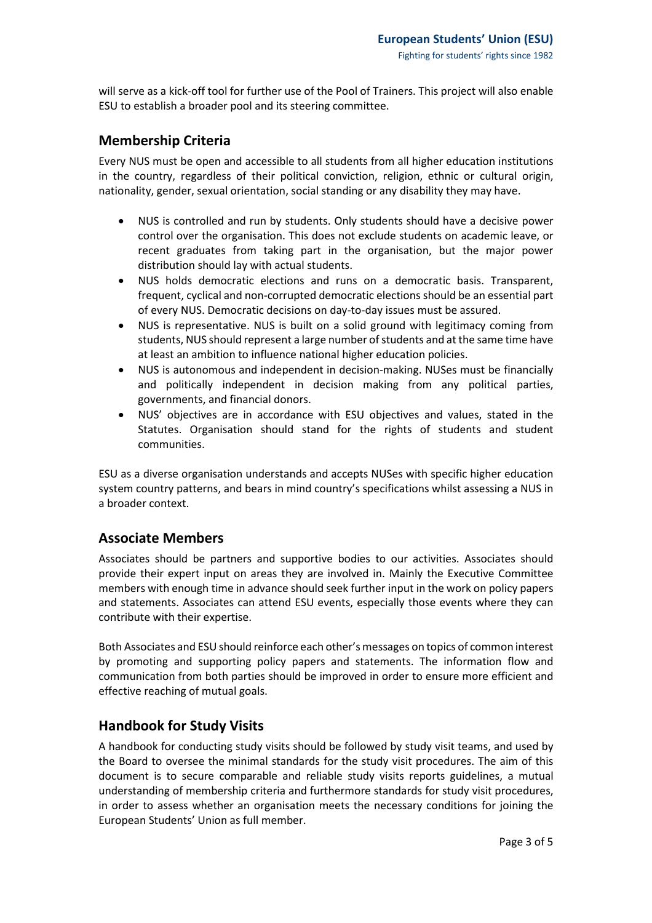will serve as a kick-off tool for further use of the Pool of Trainers. This project will also enable ESU to establish a broader pool and its steering committee.

#### **Membership Criteria**

Every NUS must be open and accessible to all students from all higher education institutions in the country, regardless of their political conviction, religion, ethnic or cultural origin, nationality, gender, sexual orientation, social standing or any disability they may have.

- NUS is controlled and run by students. Only students should have a decisive power control over the organisation. This does not exclude students on academic leave, or recent graduates from taking part in the organisation, but the major power distribution should lay with actual students.
- NUS holds democratic elections and runs on a democratic basis. Transparent, frequent, cyclical and non-corrupted democratic elections should be an essential part of every NUS. Democratic decisions on day-to-day issues must be assured.
- NUS is representative. NUS is built on a solid ground with legitimacy coming from students, NUS should represent a large number of students and at the same time have at least an ambition to influence national higher education policies.
- NUS is autonomous and independent in decision-making. NUSes must be financially and politically independent in decision making from any political parties, governments, and financial donors.
- NUS' objectives are in accordance with ESU objectives and values, stated in the Statutes. Organisation should stand for the rights of students and student communities.

ESU as a diverse organisation understands and accepts NUSes with specific higher education system country patterns, and bears in mind country's specifications whilst assessing a NUS in a broader context.

## **Associate Members**

Associates should be partners and supportive bodies to our activities. Associates should provide their expert input on areas they are involved in. Mainly the Executive Committee members with enough time in advance should seek further input in the work on policy papers and statements. Associates can attend ESU events, especially those events where they can contribute with their expertise.

Both Associates and ESU should reinforce each other's messages on topics of common interest by promoting and supporting policy papers and statements. The information flow and communication from both parties should be improved in order to ensure more efficient and effective reaching of mutual goals.

## **Handbook for Study Visits**

A handbook for conducting study visits should be followed by study visit teams, and used by the Board to oversee the minimal standards for the study visit procedures. The aim of this document is to secure comparable and reliable study visits reports guidelines, a mutual understanding of membership criteria and furthermore standards for study visit procedures, in order to assess whether an organisation meets the necessary conditions for joining the European Students' Union as full member.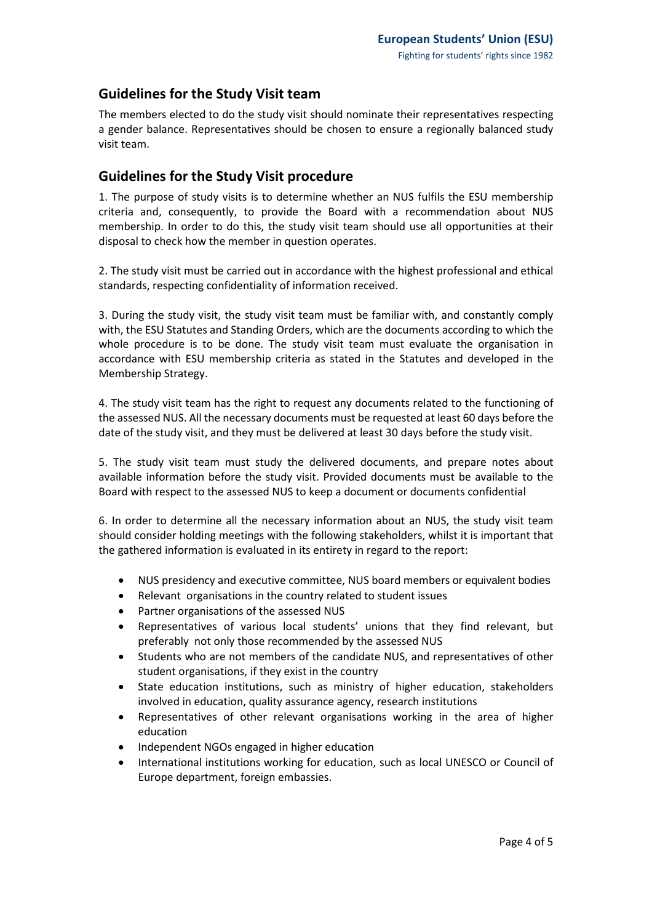## **Guidelines for the Study Visit team**

The members elected to do the study visit should nominate their representatives respecting a gender balance. Representatives should be chosen to ensure a regionally balanced study visit team.

## **Guidelines for the Study Visit procedure**

1. The purpose of study visits is to determine whether an NUS fulfils the ESU membership criteria and, consequently, to provide the Board with a recommendation about NUS membership. In order to do this, the study visit team should use all opportunities at their disposal to check how the member in question operates.

2. The study visit must be carried out in accordance with the highest professional and ethical standards, respecting confidentiality of information received.

3. During the study visit, the study visit team must be familiar with, and constantly comply with, the ESU Statutes and Standing Orders, which are the documents according to which the whole procedure is to be done. The study visit team must evaluate the organisation in accordance with ESU membership criteria as stated in the Statutes and developed in the Membership Strategy.

4. The study visit team has the right to request any documents related to the functioning of the assessed NUS. All the necessary documents must be requested at least 60 days before the date of the study visit, and they must be delivered at least 30 days before the study visit.

5. The study visit team must study the delivered documents, and prepare notes about available information before the study visit. Provided documents must be available to the Board with respect to the assessed NUS to keep a document or documents confidential

6. In order to determine all the necessary information about an NUS, the study visit team should consider holding meetings with the following stakeholders, whilst it is important that the gathered information is evaluated in its entirety in regard to the report:

- NUS presidency and executive committee, NUS board members or equivalent bodies
- Relevant organisations in the country related to student issues
- Partner organisations of the assessed NUS
- Representatives of various local students' unions that they find relevant, but preferably not only those recommended by the assessed NUS
- Students who are not members of the candidate NUS, and representatives of other student organisations, if they exist in the country
- State education institutions, such as ministry of higher education, stakeholders involved in education, quality assurance agency, research institutions
- Representatives of other relevant organisations working in the area of higher education
- Independent NGOs engaged in higher education
- International institutions working for education, such as local UNESCO or Council of Europe department, foreign embassies.